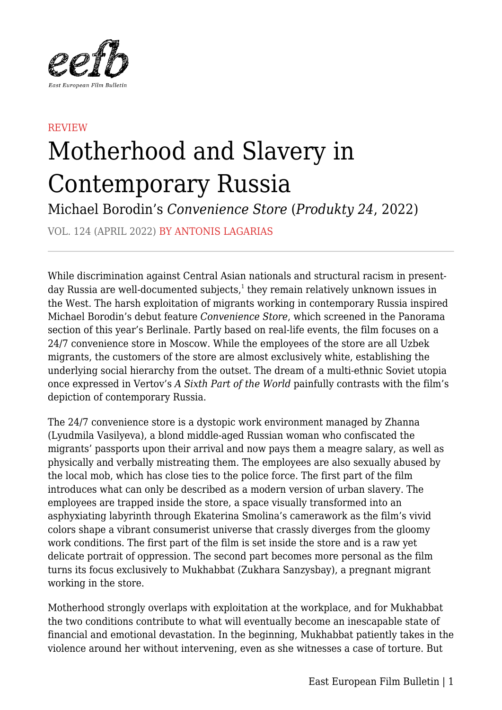

## REVIEW Motherhood and Slavery in Contemporary Russia

Michael Borodin's *Convenience Store* (*Produkty 24*, 2022)

VOL. 124 (APRIL 2022) BY ANTONIS LAGARIAS

While discrimination against Central Asian nationals and structural racism in presentday Russia are well-documented subjects, $<sup>1</sup>$  they remain relatively unknown issues in</sup> the West. The harsh exploitation of migrants working in contemporary Russia inspired Michael Borodin's debut feature *Convenience Store*, which screened in the Panorama section of this year's Berlinale. Partly based on real-life events, the film focuses on a 24/7 convenience store in Moscow. While the employees of the store are all Uzbek migrants, the customers of the store are almost exclusively white, establishing the underlying social hierarchy from the outset. The dream of a multi-ethnic Soviet utopia once expressed in Vertov's *A Sixth Part of the World* painfully contrasts with the film's depiction of contemporary Russia.

The 24/7 convenience store is a dystopic work environment managed by Zhanna (Lyudmila Vasilyeva), a blond middle-aged Russian woman who confiscated the migrants' passports upon their arrival and now pays them a meagre salary, as well as physically and verbally mistreating them. The employees are also sexually abused by the local mob, which has close ties to the police force. The first part of the film introduces what can only be described as a modern version of urban slavery. The employees are trapped inside the store, a space visually transformed into an asphyxiating labyrinth through Ekaterina Smolina's camerawork as the film's vivid colors shape a vibrant consumerist universe that crassly diverges from the gloomy work conditions. The first part of the film is set inside the store and is a raw yet delicate portrait of oppression. The second part becomes more personal as the film turns its focus exclusively to Mukhabbat (Zukhara Sanzysbay), a pregnant migrant working in the store.

Motherhood strongly overlaps with exploitation at the workplace, and for Mukhabbat the two conditions contribute to what will eventually become an inescapable state of financial and emotional devastation. In the beginning, Mukhabbat patiently takes in the violence around her without intervening, even as she witnesses a case of torture. But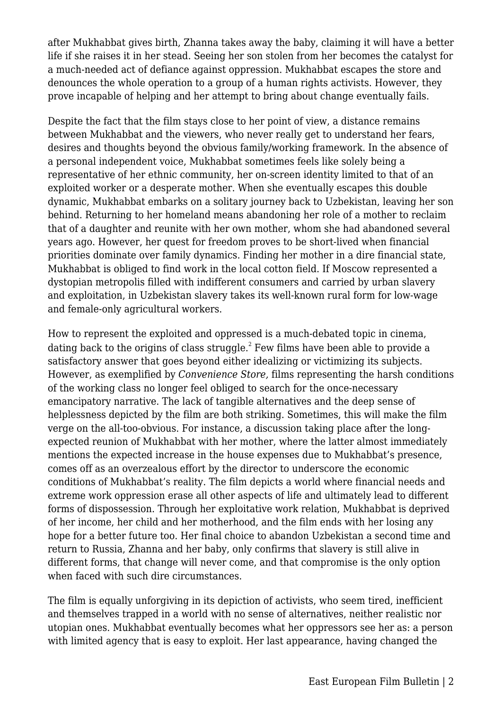after Mukhabbat gives birth, Zhanna takes away the baby, claiming it will have a better life if she raises it in her stead. Seeing her son stolen from her becomes the catalyst for a much-needed act of defiance against oppression. Mukhabbat escapes the store and denounces the whole operation to a group of a human rights activists. However, they prove incapable of helping and her attempt to bring about change eventually fails.

Despite the fact that the film stays close to her point of view, a distance remains between Mukhabbat and the viewers, who never really get to understand her fears, desires and thoughts beyond the obvious family/working framework. In the absence of a personal independent voice, Mukhabbat sometimes feels like solely being a representative of her ethnic community, her on-screen identity limited to that of an exploited worker or a desperate mother. When she eventually escapes this double dynamic, Mukhabbat embarks on a solitary journey back to Uzbekistan, leaving her son behind. Returning to her homeland means abandoning her role of a mother to reclaim that of a daughter and reunite with her own mother, whom she had abandoned several years ago. However, her quest for freedom proves to be short-lived when financial priorities dominate over family dynamics. Finding her mother in a dire financial state, Mukhabbat is obliged to find work in the local cotton field. If Moscow represented a dystopian metropolis filled with indifferent consumers and carried by urban slavery and exploitation, in Uzbekistan slavery takes its well-known rural form for low-wage and female-only agricultural workers.

How to represent the exploited and oppressed is a much-debated topic in cinema, dating back to the origins of class struggle.<sup>2</sup> Few films have been able to provide a satisfactory answer that goes beyond either idealizing or victimizing its subjects. However, as exemplified by *Convenience Store,* films representing the harsh conditions of the working class no longer feel obliged to search for the once-necessary emancipatory narrative. The lack of tangible alternatives and the deep sense of helplessness depicted by the film are both striking. Sometimes, this will make the film verge on the all-too-obvious. For instance, a discussion taking place after the longexpected reunion of Mukhabbat with her mother, where the latter almost immediately mentions the expected increase in the house expenses due to Mukhabbat's presence, comes off as an overzealous effort by the director to underscore the economic conditions of Mukhabbat's reality. The film depicts a world where financial needs and extreme work oppression erase all other aspects of life and ultimately lead to different forms of dispossession. Through her exploitative work relation, Mukhabbat is deprived of her income, her child and her motherhood, and the film ends with her losing any hope for a better future too. Her final choice to abandon Uzbekistan a second time and return to Russia, Zhanna and her baby, only confirms that slavery is still alive in different forms, that change will never come, and that compromise is the only option when faced with such dire circumstances.

The film is equally unforgiving in its depiction of activists, who seem tired, inefficient and themselves trapped in a world with no sense of alternatives, neither realistic nor utopian ones. Mukhabbat eventually becomes what her oppressors see her as: a person with limited agency that is easy to exploit. Her last appearance, having changed the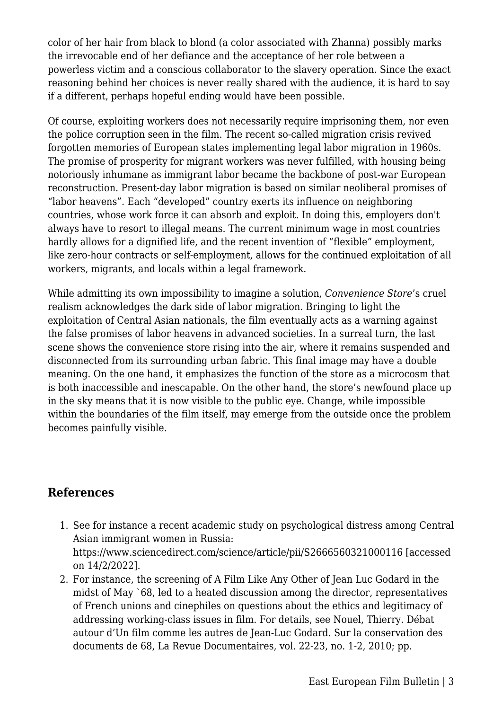color of her hair from black to blond (a color associated with Zhanna) possibly marks the irrevocable end of her defiance and the acceptance of her role between a powerless victim and a conscious collaborator to the slavery operation. Since the exact reasoning behind her choices is never really shared with the audience, it is hard to say if a different, perhaps hopeful ending would have been possible.

Of course, exploiting workers does not necessarily require imprisoning them, nor even the police corruption seen in the film. The recent so-called migration crisis revived forgotten memories of European states implementing legal labor migration in 1960s. The promise of prosperity for migrant workers was never fulfilled, with housing being notoriously inhumane as immigrant labor became the backbone of post-war European reconstruction. Present-day labor migration is based on similar neoliberal promises of "labor heavens". Each "developed" country exerts its influence on neighboring countries, whose work force it can absorb and exploit. In doing this, employers don't always have to resort to illegal means. The current minimum wage in most countries hardly allows for a dignified life, and the recent invention of "flexible" employment, like zero-hour contracts or self-employment, allows for the continued exploitation of all workers, migrants, and locals within a legal framework.

While admitting its own impossibility to imagine a solution, *Convenience Store*'s cruel realism acknowledges the dark side of labor migration. Bringing to light the exploitation of Central Asian nationals, the film eventually acts as a warning against the false promises of labor heavens in advanced societies. In a surreal turn, the last scene shows the convenience store rising into the air, where it remains suspended and disconnected from its surrounding urban fabric. This final image may have a double meaning. On the one hand, it emphasizes the function of the store as a microcosm that is both inaccessible and inescapable. On the other hand, the store's newfound place up in the sky means that it is now visible to the public eye. Change, while impossible within the boundaries of the film itself, may emerge from the outside once the problem becomes painfully visible.

## **References**

- 1. See for instance a recent academic study on psychological distress among Central Asian immigrant women in Russia: https://www.sciencedirect.com/science/article/pii/S2666560321000116 [accessed on 14/2/2022].
- 2. For instance, the screening of A Film Like Any Other of Jean Luc Godard in the midst of May `68, led to a heated discussion among the director, representatives of French unions and cinephiles on questions about the ethics and legitimacy of addressing working-class issues in film. For details, see Nouel, Thierry. Débat autour d'Un film comme les autres de Jean-Luc Godard. Sur la conservation des documents de 68, La Revue Documentaires, vol. 22-23, no. 1-2, 2010; pp.